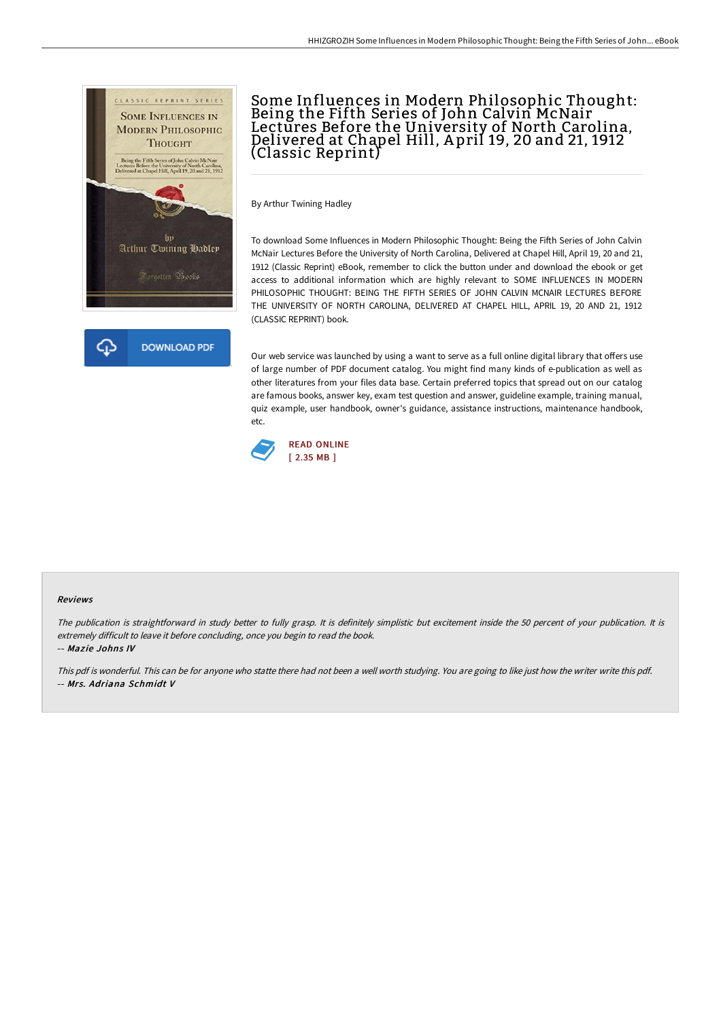

## Some Influences in Modern Philosophic Thought: Being the Fifth Series of John Calvin McNair Lectures Before the University of North Carolina, Delivered at Chapel Hill, A pril 19, 20 and 21, 1912 (Classic Reprint)

By Arthur Twining Hadley

To download Some Influences in Modern Philosophic Thought: Being the Fifth Series of John Calvin McNair Lectures Before the University of North Carolina, Delivered at Chapel Hill, April 19, 20 and 21, 1912 (Classic Reprint) eBook, remember to click the button under and download the ebook or get access to additional information which are highly relevant to SOME INFLUENCES IN MODERN PHILOSOPHIC THOUGHT: BEING THE FIFTH SERIES OF JOHN CALVIN MCNAIR LECTURES BEFORE THE UNIVERSITY OF NORTH CAROLINA, DELIVERED AT CHAPEL HILL, APRIL 19, 20 AND 21, 1912 (CLASSIC REPRINT) book.

Our web service was launched by using a want to serve as a full online digital library that offers use of large number of PDF document catalog. You might find many kinds of e-publication as well as other literatures from your files data base. Certain preferred topics that spread out on our catalog are famous books, answer key, exam test question and answer, guideline example, training manual, quiz example, user handbook, owner's guidance, assistance instructions, maintenance handbook, etc.



## Reviews

The publication is straightforward in study better to fully grasp. It is definitely simplistic but excitement inside the 50 percent of your publication. It is extremely difficult to leave it before concluding, once you begin to read the book.

-- Mazie Johns IV

This pdf is wonderful. This can be for anyone who statte there had not been a well worth studying. You are going to like just how the writer write this pdf. -- Mrs. Adriana Schmidt V